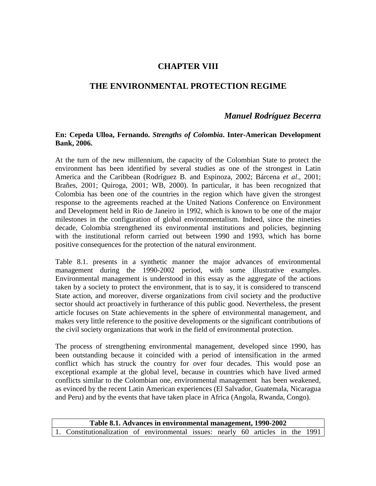# **CHAPTER VIII**

# **THE ENVIRONMENTAL PROTECTION REGIME**

# *Manuel Rodríguez Becerra*

### **En: Cepeda Ulloa, Fernando.** *Strengths of Colombia***. Inter-American Development Bank, 2006.**

At the turn of the new millennium, the capacity of the Colombian State to protect the environment has been identified by several studies as one of the strongest in Latin America and the Caribbean (Rodríguez B. and Espinoza, 2002; Bárcena *et al*., 2001; Brañes, 2001; Quiroga, 2001; WB, 2000). In particular, it has been recognized that Colombia has been one of the countries in the region which have given the strongest response to the agreements reached at the United Nations Conference on Environment and Development held in Rio de Janeiro in 1992, which is known to be one of the major milestones in the configuration of global environmentalism. Indeed, since the nineties decade, Colombia strengthened its environmental institutions and policies, beginning with the institutional reform carried out between 1990 and 1993, which has borne positive consequences for the protection of the natural environment.

Table 8.1. presents in a synthetic manner the major advances of environmental management during the 1990-2002 period, with some illustrative examples. Environmental management is understood in this essay as the aggregate of the actions taken by a society to protect the environment, that is to say, it is considered to transcend State action, and moreover, diverse organizations from civil society and the productive sector should act proactively in furtherance of this public good. Nevertheless, the present article focuses on State achievements in the sphere of environmental management, and makes very little reference to the positive developments or the significant contributions of the civil society organizations that work in the field of environmental protection.

The process of strengthening environmental management, developed since 1990, has been outstanding because it coincided with a period of intensification in the armed conflict which has struck the country for over four decades. This would pose an exceptional example at the global level, because in countries which have lived armed conflicts similar to the Colombian one, environmental management has been weakened, as evinced by the recent Latin American experiences (El Salvador, Guatemala, Nicaragua and Peru) and by the events that have taken place in Africa (Angola, Rwanda, Congo).

| Table 8.1. Advances in environmental management, 1990-2002 |                                                                                  |  |  |  |  |  |  |  |  |  |
|------------------------------------------------------------|----------------------------------------------------------------------------------|--|--|--|--|--|--|--|--|--|
|                                                            | 1. Constitutionalization of environmental issues: nearly 60 articles in the 1991 |  |  |  |  |  |  |  |  |  |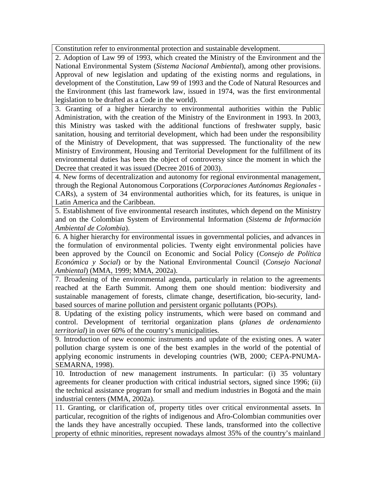Constitution refer to environmental protection and sustainable development.

2. Adoption of Law 99 of 1993, which created the Ministry of the Environment and the National Environmental System (*Sistema Nacional Ambiental*), among other provisions. Approval of new legislation and updating of the existing norms and regulations, in development of the Constitution, Law 99 of 1993 and the Code of Natural Resources and the Environment (this last framework law, issued in 1974, was the first environmental legislation to be drafted as a Code in the world).

3. Granting of a higher hierarchy to environmental authorities within the Public Administration, with the creation of the Ministry of the Environment in 1993. In 2003, this Ministry was tasked with the additional functions of freshwater supply, basic sanitation, housing and territorial development, which had been under the responsibility of the Ministry of Development, that was suppressed. The functionality of the new Ministry of Environment, Housing and Territorial Development for the fulfillment of its environmental duties has been the object of controversy since the moment in which the Decree that created it was issued (Decree 2016 of 2003).

4. New forms of decentralization and autonomy for regional environmental management, through the Regional Autonomous Corporations (*Corporaciones Autónomas Regionales -* CARs), a system of 34 environmental authorities which, for its features, is unique in Latin America and the Caribbean.

5. Establishment of five environmental research institutes, which depend on the Ministry and on the Colombian System of Environmental Information (*Sistema de Información Ambiental de Colombia*).

6. A higher hierarchy for environmental issues in governmental policies, and advances in the formulation of environmental policies. Twenty eight environmental policies have been approved by the Council on Economic and Social Policy (*Consejo de Política Económica y Social*) or by the National Environmental Council (*Consejo Nacional Ambiental*) (MMA, 1999; MMA, 2002a).

7. Broadening of the environmental agenda, particularly in relation to the agreements reached at the Earth Summit. Among them one should mention: biodiversity and sustainable management of forests, climate change, desertification, bio-security, landbased sources of marine pollution and persistent organic pollutants (POPs).

8. Updating of the existing policy instruments, which were based on command and control. Development of territorial organization plans (*planes de ordenamiento territorial*) in over 60% of the country's municipalities.

9. Introduction of new economic instruments and update of the existing ones. A water pollution charge system is one of the best examples in the world of the potential of applying economic instruments in developing countries (WB, 2000; CEPA-PNUMA-SEMARNA, 1998).

10. Introduction of new management instruments. In particular: (i) 35 voluntary agreements for cleaner production with critical industrial sectors, signed since 1996; (ii) the technical assistance program for small and medium industries in Bogotá and the main industrial centers (MMA, 2002a).

11. Granting, or clarification of, property titles over critical environmental assets. In particular, recognition of the rights of indigenous and Afro-Colombian communities over the lands they have ancestrally occupied. These lands, transformed into the collective property of ethnic minorities, represent nowadays almost 35% of the country's mainland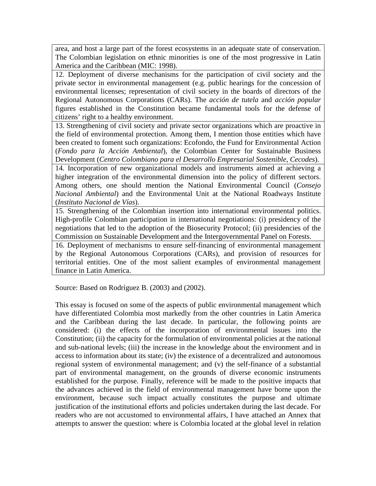area, and host a large part of the forest ecosystems in an adequate state of conservation. The Colombian legislation on ethnic minorities is one of the most progressive in Latin America and the Caribbean (MIC: 1998).

12. Deployment of diverse mechanisms for the participation of civil society and the private sector in environmental management (e.g. public hearings for the concession of environmental licenses; representation of civil society in the boards of directors of the Regional Autonomous Corporations (CARs). The *acción de tutela* and *acción popular*  figures established in the Constitution became fundamental tools for the defense of citizens' right to a healthy environment.

13. Strengthening of civil society and private sector organizations which are proactive in the field of environmental protection. Among them, I mention those entities which have been created to foment such organizations: Ecofondo, the Fund for Environmental Action (*Fondo para la Acción Ambiental*), the Colombian Center for Sustainable Business Development (*Centro Colombiano para el Desarrollo Empresarial Sostenible, Cecodes*).

14. Incorporation of new organizational models and instruments aimed at achieving a higher integration of the environmental dimension into the policy of different sectors. Among others, one should mention the National Environmental Council (*Consejo Nacional Ambiental*) and the Environmental Unit at the National Roadways Institute (*Instituto Nacional de Vías*).

15. Strengthening of the Colombian insertion into international environmental politics. High-profile Colombian participation in international negotiations: (i) presidency of the negotiations that led to the adoption of the Biosecurity Protocol; (ii) presidencies of the Commission on Sustainable Development and the Intergovernmental Panel on Forests.

16. Deployment of mechanisms to ensure self-financing of environmental management by the Regional Autonomous Corporations (CARs), and provision of resources for territorial entities. One of the most salient examples of environmental management finance in Latin America.

Source: Based on Rodríguez B. (2003) and (2002).

This essay is focused on some of the aspects of public environmental management which have differentiated Colombia most markedly from the other countries in Latin America and the Caribbean during the last decade. In particular, the following points are considered: (i) the effects of the incorporation of environmental issues into the Constitution; (ii) the capacity for the formulation of environmental policies at the national and sub-national levels; (iii) the increase in the knowledge about the environment and in access to information about its state; (iv) the existence of a decentralized and autonomous regional system of environmental management; and (v) the self-finance of a substantial part of environmental management, on the grounds of diverse economic instruments established for the purpose. Finally, reference will be made to the positive impacts that the advances achieved in the field of environmental management have borne upon the environment, because such impact actually constitutes the purpose and ultimate justification of the institutional efforts and policies undertaken during the last decade. For readers who are not accustomed to environmental affairs, I have attached an Annex that attempts to answer the question: where is Colombia located at the global level in relation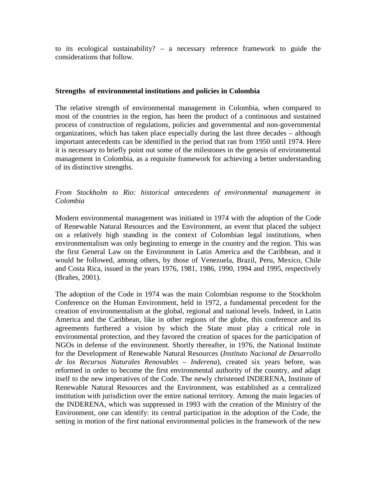to its ecological sustainability? – a necessary reference framework to guide the considerations that follow.

### **Strengths of environmental institutions and policies in Colombia**

The relative strength of environmental management in Colombia, when compared to most of the countries in the region, has been the product of a continuous and sustained process of construction of regulations, policies and governmental and non-governmental organizations, which has taken place especially during the last three decades – although important antecedents can be identified in the period that ran from 1950 until 1974. Here it is necessary to briefly point out some of the milestones in the genesis of environmental management in Colombia, as a requisite framework for achieving a better understanding of its distinctive strengths.

## *From Stockholm to Rio: historical antecedents of environmental management in Colombia*

Modern environmental management was initiated in 1974 with the adoption of the Code of Renewable Natural Resources and the Environment, an event that placed the subject on a relatively high standing in the context of Colombian legal institutions, when environmentalism was only beginning to emerge in the country and the region. This was the first General Law on the Environment in Latin America and the Caribbean, and it would be followed, among others, by those of Venezuela, Brazil, Peru, Mexico, Chile and Costa Rica, issued in the years 1976, 1981, 1986, 1990, 1994 and 1995, respectively (Brañes, 2001).

The adoption of the Code in 1974 was the main Colombian response to the Stockholm Conference on the Human Environment, held in 1972, a fundamental precedent for the creation of environmentalism at the global, regional and national levels. Indeed, in Latin America and the Caribbean, like in other regions of the globe, this conference and its agreements furthered a vision by which the State must play a critical role in environmental protection, and they favored the creation of spaces for the participation of NGOs in defense of the environment. Shortly thereafter, in 1976, the National Institute for the Development of Renewable Natural Resources (*Instituto Nacional de Desarrollo de los Recursos Naturales Renovables – Inderena*), created six years before, was reformed in order to become the first environmental authority of the country, and adapt itself to the new imperatives of the Code. The newly christened INDERENA, Institute of Renewable Natural Resources and the Environment, was established as a centralized institution with jurisdiction over the entire national territory. Among the main legacies of the INDERENA, which was suppressed in 1993 with the creation of the Ministry of the Environment, one can identify: its central participation in the adoption of the Code, the setting in motion of the first national environmental policies in the framework of the new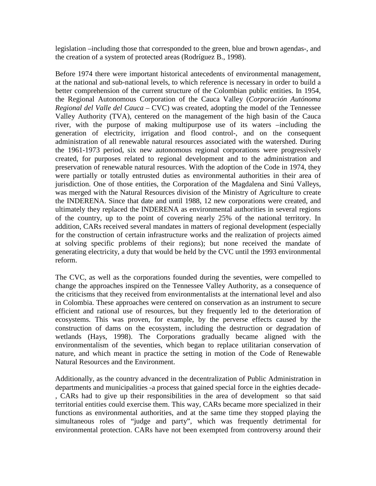legislation –including those that corresponded to the green, blue and brown agendas-, and the creation of a system of protected areas (Rodríguez B., 1998).

Before 1974 there were important historical antecedents of environmental management, at the national and sub-national levels, to which reference is necessary in order to build a better comprehension of the current structure of the Colombian public entities. In 1954, the Regional Autonomous Corporation of the Cauca Valley (*Corporación Autónoma Regional del Valle del Cauca* – CVC) was created, adopting the model of the Tennessee Valley Authority (TVA), centered on the management of the high basin of the Cauca river, with the purpose of making multipurpose use of its waters –including the generation of electricity, irrigation and flood control-, and on the consequent administration of all renewable natural resources associated with the watershed. During the 1961-1973 period, six new autonomous regional corporations were progressively created, for purposes related to regional development and to the administration and preservation of renewable natural resources. With the adoption of the Code in 1974, they were partially or totally entrusted duties as environmental authorities in their area of jurisdiction. One of those entities, the Corporation of the Magdalena and Sinú Valleys, was merged with the Natural Resources division of the Ministry of Agriculture to create the INDERENA. Since that date and until 1988, 12 new corporations were created, and ultimately they replaced the INDERENA as environmental authorities in several regions of the country, up to the point of covering nearly 25% of the national territory. In addition, CARs received several mandates in matters of regional development (especially for the construction of certain infrastructure works and the realization of projects aimed at solving specific problems of their regions); but none received the mandate of generating electricity, a duty that would be held by the CVC until the 1993 environmental reform.

The CVC, as well as the corporations founded during the seventies, were compelled to change the approaches inspired on the Tennessee Valley Authority, as a consequence of the criticisms that they received from environmentalists at the international level and also in Colombia. These approaches were centered on conservation as an instrument to secure efficient and rational use of resources, but they frequently led to the deterioration of ecosystems. This was proven, for example, by the perverse effects caused by the construction of dams on the ecosystem, including the destruction or degradation of wetlands (Hays, 1998). The Corporations gradually became aligned with the environmentalism of the seventies, which began to replace utilitarian conservation of nature, and which meant in practice the setting in motion of the Code of Renewable Natural Resources and the Environment.

Additionally, as the country advanced in the decentralization of Public Administration in departments and municipalities -a process that gained special force in the eighties decade- , CARs had to give up their responsibilities in the area of development so that said territorial entities could exercise them. This way, CARs became more specialized in their functions as environmental authorities, and at the same time they stopped playing the simultaneous roles of "judge and party", which was frequently detrimental for environmental protection. CARs have not been exempted from controversy around their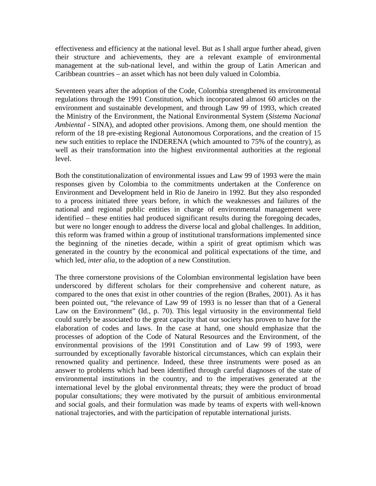effectiveness and efficiency at the national level. But as I shall argue further ahead, given their structure and achievements, they are a relevant example of environmental management at the sub-national level, and within the group of Latin American and Caribbean countries – an asset which has not been duly valued in Colombia.

Seventeen years after the adoption of the Code, Colombia strengthened its environmental regulations through the 1991 Constitution, which incorporated almost 60 articles on the environment and sustainable development, and through Law 99 of 1993, which created the Ministry of the Environment, the National Environmental System (*Sistema Nacional Ambiental -* SINA), and adopted other provisions. Among them, one should mention the reform of the 18 pre-existing Regional Autonomous Corporations, and the creation of 15 new such entities to replace the INDERENA (which amounted to 75% of the country), as well as their transformation into the highest environmental authorities at the regional level.

Both the constitutionalization of environmental issues and Law 99 of 1993 were the main responses given by Colombia to the commitments undertaken at the Conference on Environment and Development held in Rio de Janeiro in 1992. But they also responded to a process initiated three years before, in which the weaknesses and failures of the national and regional public entities in charge of environmental management were identified – these entities had produced significant results during the foregoing decades, but were no longer enough to address the diverse local and global challenges. In addition, this reform was framed within a group of institutional transformations implemented since the beginning of the nineties decade, within a spirit of great optimism which was generated in the country by the economical and political expectations of the time, and which led, *inter alia*, to the adoption of a new Constitution.

The three cornerstone provisions of the Colombian environmental legislation have been underscored by different scholars for their comprehensive and coherent nature, as compared to the ones that exist in other countries of the region (Brañes, 2001). As it has been pointed out, "the relevance of Law 99 of 1993 is no lesser than that of a General Law on the Environment" (Id., p. 70). This legal virtuosity in the environmental field could surely be associated to the great capacity that our society has proven to have for the elaboration of codes and laws. In the case at hand, one should emphasize that the processes of adoption of the Code of Natural Resources and the Environment, of the environmental provisions of the 1991 Constitution and of Law 99 of 1993, were surrounded by exceptionally favorable historical circumstances, which can explain their renowned quality and pertinence. Indeed, these three instruments were posed as an answer to problems which had been identified through careful diagnoses of the state of environmental institutions in the country, and to the imperatives generated at the international level by the global environmental threats; they were the product of broad popular consultations; they were motivated by the pursuit of ambitious environmental and social goals, and their formulation was made by teams of experts with well-known national trajectories, and with the participation of reputable international jurists.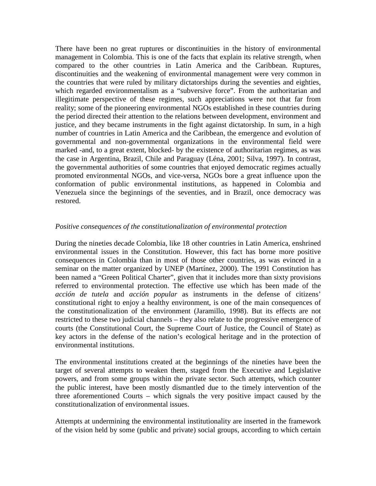There have been no great ruptures or discontinuities in the history of environmental management in Colombia. This is one of the facts that explain its relative strength, when compared to the other countries in Latin America and the Caribbean. Ruptures, discontinuities and the weakening of environmental management were very common in the countries that were ruled by military dictatorships during the seventies and eighties, which regarded environmentalism as a "subversive force". From the authoritarian and illegitimate perspective of these regimes, such appreciations were not that far from reality; some of the pioneering environmental NGOs established in these countries during the period directed their attention to the relations between development, environment and justice, and they became instruments in the fight against dictatorship. In sum, in a high number of countries in Latin America and the Caribbean, the emergence and evolution of governmental and non-governmental organizations in the environmental field were marked -and, to a great extent, blocked- by the existence of authoritarian regimes, as was the case in Argentina, Brazil, Chile and Paraguay (Léna, 2001; Silva, 1997). In contrast, the governmental authorities of some countries that enjoyed democratic regimes actually promoted environmental NGOs, and vice-versa, NGOs bore a great influence upon the conformation of public environmental institutions, as happened in Colombia and Venezuela since the beginnings of the seventies, and in Brazil, once democracy was restored.

### *Positive consequences of the constitutionalization of environmental protection*

During the nineties decade Colombia, like 18 other countries in Latin America, enshrined environmental issues in the Constitution. However, this fact has borne more positive consequences in Colombia than in most of those other countries, as was evinced in a seminar on the matter organized by UNEP (Martínez, 2000). The 1991 Constitution has been named a "Green Political Charter", given that it includes more than sixty provisions referred to environmental protection. The effective use which has been made of the *acción de tutela* and *acción popular* as instruments in the defense of citizens' constitutional right to enjoy a healthy environment, is one of the main consequences of the constitutionalization of the environment (Jaramillo, 1998). But its effects are not restricted to these two judicial channels – they also relate to the progressive emergence of courts (the Constitutional Court, the Supreme Court of Justice, the Council of State) as key actors in the defense of the nation's ecological heritage and in the protection of environmental institutions.

The environmental institutions created at the beginnings of the nineties have been the target of several attempts to weaken them, staged from the Executive and Legislative powers, and from some groups within the private sector. Such attempts, which counter the public interest, have been mostly dismantled due to the timely intervention of the three aforementioned Courts – which signals the very positive impact caused by the constitutionalization of environmental issues.

Attempts at undermining the environmental institutionality are inserted in the framework of the vision held by some (public and private) social groups, according to which certain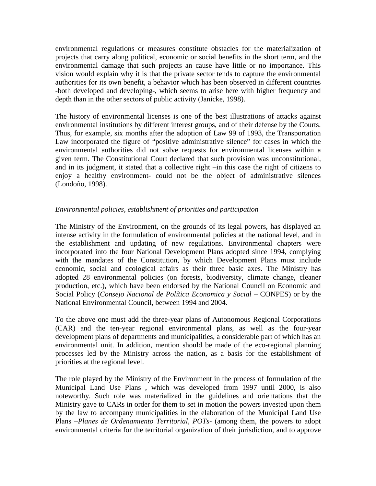environmental regulations or measures constitute obstacles for the materialization of projects that carry along political, economic or social benefits in the short term, and the environmental damage that such projects an cause have little or no importance. This vision would explain why it is that the private sector tends to capture the environmental authorities for its own benefit, a behavior which has been observed in different countries -both developed and developing-, which seems to arise here with higher frequency and depth than in the other sectors of public activity (Janicke, 1998).

The history of environmental licenses is one of the best illustrations of attacks against environmental institutions by different interest groups, and of their defense by the Courts. Thus, for example, six months after the adoption of Law 99 of 1993, the Transportation Law incorporated the figure of "positive administrative silence" for cases in which the environmental authorities did not solve requests for environmental licenses within a given term. The Constitutional Court declared that such provision was unconstitutional, and in its judgment, it stated that a collective right –in this case the right of citizens to enjoy a healthy environment- could not be the object of administrative silences (Londoño, 1998).

## *Environmental policies, establishment of priorities and participation*

The Ministry of the Environment, on the grounds of its legal powers, has displayed an intense activity in the formulation of environmental policies at the national level, and in the establishment and updating of new regulations. Environmental chapters were incorporated into the four National Development Plans adopted since 1994, complying with the mandates of the Constitution, by which Development Plans must include economic, social and ecological affairs as their three basic axes. The Ministry has adopted 28 environmental policies (on forests, biodiversity, climate change, cleaner production, etc.), which have been endorsed by the National Council on Economic and Social Policy (*Consejo Nacional de Política Economica y Social* – CONPES) or by the National Environmental Council, between 1994 and 2004.

To the above one must add the three-year plans of Autonomous Regional Corporations (CAR) and the ten-year regional environmental plans, as well as the four-year development plans of departments and municipalities, a considerable part of which has an environmental unit. In addition, mention should be made of the eco-regional planning processes led by the Ministry across the nation, as a basis for the establishment of priorities at the regional level.

The role played by the Ministry of the Environment in the process of formulation of the Municipal Land Use Plans , which was developed from 1997 until 2000, is also noteworthy. Such role was materialized in the guidelines and orientations that the Ministry gave to CARs in order for them to set in motion the powers invested upon them by the law to accompany municipalities in the elaboration of the Municipal Land Use Plans –*Planes de Ordenamiento Territorial, POTs*- (among them, the powers to adopt environmental criteria for the territorial organization of their jurisdiction, and to approve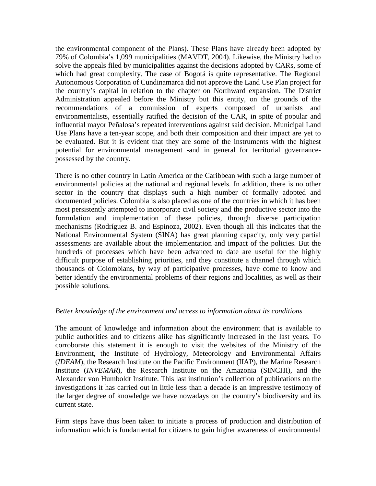the environmental component of the Plans). These Plans have already been adopted by 79% of Colombia's 1,099 municipalities (MAVDT, 2004). Likewise, the Ministry had to solve the appeals filed by municipalities against the decisions adopted by CARs, some of which had great complexity. The case of Bogotá is quite representative. The Regional Autonomous Corporation of Cundinamarca did not approve the Land Use Plan project for the country's capital in relation to the chapter on Northward expansion. The District Administration appealed before the Ministry but this entity, on the grounds of the recommendations of a commission of experts composed of urbanists and environmentalists, essentially ratified the decision of the CAR, in spite of popular and influential mayor Peñalosa's repeated interventions against said decision. Municipal Land Use Plans have a ten-year scope, and both their composition and their impact are yet to be evaluated. But it is evident that they are some of the instruments with the highest potential for environmental management -and in general for territorial governancepossessed by the country.

There is no other country in Latin America or the Caribbean with such a large number of environmental policies at the national and regional levels. In addition, there is no other sector in the country that displays such a high number of formally adopted and documented policies. Colombia is also placed as one of the countries in which it has been most persistently attempted to incorporate civil society and the productive sector into the formulation and implementation of these policies, through diverse participation mechanisms (Rodríguez B. and Espinoza, 2002). Even though all this indicates that the National Environmental System (SINA) has great planning capacity, only very partial assessments are available about the implementation and impact of the policies. But the hundreds of processes which have been advanced to date are useful for the highly difficult purpose of establishing priorities, and they constitute a channel through which thousands of Colombians, by way of participative processes, have come to know and better identify the environmental problems of their regions and localities, as well as their possible solutions.

### *Better knowledge of the environment and access to information about its conditions*

The amount of knowledge and information about the environment that is available to public authorities and to citizens alike has significantly increased in the last years. To corroborate this statement it is enough to visit the websites of the Ministry of the Environment, the Institute of Hydrology, Meteorology and Environmental Affairs (*IDEAM*), the Research Institute on the Pacific Environment (IIAP), the Marine Research Institute (*INVEMAR*), the Research Institute on the Amazonia (SINCHI), and the Alexander von Humboldt Institute. This last institution's collection of publications on the investigations it has carried out in little less than a decade is an impressive testimony of the larger degree of knowledge we have nowadays on the country's biodiversity and its current state.

Firm steps have thus been taken to initiate a process of production and distribution of information which is fundamental for citizens to gain higher awareness of environmental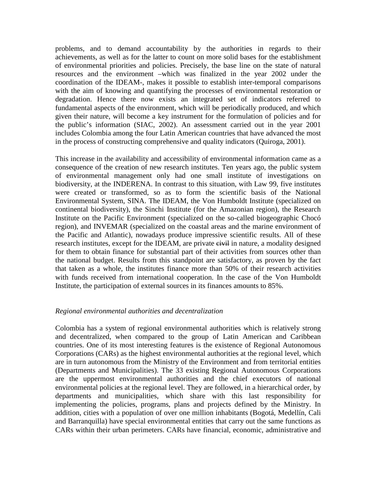problems, and to demand accountability by the authorities in regards to their achievements, as well as for the latter to count on more solid bases for the establishment of environmental priorities and policies. Precisely, the base line on the state of natural resources and the environment –which was finalized in the year 2002 under the coordination of the IDEAM-, makes it possible to establish inter-temporal comparisons with the aim of knowing and quantifying the processes of environmental restoration or degradation. Hence there now exists an integrated set of indicators referred to fundamental aspects of the environment, which will be periodically produced, and which given their nature, will become a key instrument for the formulation of policies and for the public's information (SIAC, 2002). An assessment carried out in the year 2001 includes Colombia among the four Latin American countries that have advanced the most in the process of constructing comprehensive and quality indicators (Quiroga, 2001).

This increase in the availability and accessibility of environmental information came as a consequence of the creation of new research institutes. Ten years ago, the public system of environmental management only had one small institute of investigations on biodiversity, at the INDERENA. In contrast to this situation, with Law 99, five institutes were created or transformed, so as to form the scientific basis of the National Environmental System, SINA. The IDEAM, the Von Humboldt Institute (specialized on continental biodiversity), the Sinchi Institute (for the Amazonian region), the Research Institute on the Pacific Environment (specialized on the so-called biogeographic Chocó region), and INVEMAR (specialized on the coastal areas and the marine environment of the Pacific and Atlantic), nowadays produce impressive scientific results. All of these research institutes, except for the IDEAM, are private eivil in nature, a modality designed for them to obtain finance for substantial part of their activities from sources other than the national budget. Results from this standpoint are satisfactory, as proven by the fact that taken as a whole, the institutes finance more than 50% of their research activities with funds received from international cooperation. In the case of the Von Humboldt Institute, the participation of external sources in its finances amounts to 85%.

### *Regional environmental authorities and decentralization*

Colombia has a system of regional environmental authorities which is relatively strong and decentralized, when compared to the group of Latin American and Caribbean countries. One of its most interesting features is the existence of Regional Autonomous Corporations (CARs) as the highest environmental authorities at the regional level, which are in turn autonomous from the Ministry of the Environment and from territorial entities (Departments and Municipalities). The 33 existing Regional Autonomous Corporations are the uppermost environmental authorities and the chief executors of national environmental policies at the regional level. They are followed, in a hierarchical order, by departments and municipalities, which share with this last responsibility for implementing the policies, programs, plans and projects defined by the Ministry. In addition, cities with a population of over one million inhabitants (Bogotá, Medellín, Cali and Barranquilla) have special environmental entities that carry out the same functions as CARs within their urban perimeters. CARs have financial, economic, administrative and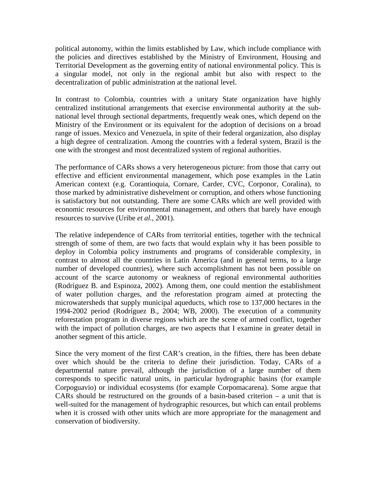political autonomy, within the limits established by Law, which include compliance with the policies and directives established by the Ministry of Environment, Housing and Territorial Development as the governing entity of national environmental policy. This is a singular model, not only in the regional ambit but also with respect to the decentralization of public administration at the national level.

In contrast to Colombia, countries with a unitary State organization have highly centralized institutional arrangements that exercise environmental authority at the subnational level through sectional departments, frequently weak ones, which depend on the Ministry of the Environment or its equivalent for the adoption of decisions on a broad range of issues. Mexico and Venezuela, in spite of their federal organization, also display a high degree of centralization. Among the countries with a federal system, Brazil is the one with the strongest and most decentralized system of regional authorities.

The performance of CARs shows a very heterogeneous picture: from those that carry out effective and efficient environmental management, which pose examples in the Latin American context (e.g. Corantioquia, Cornare, Carder, CVC, Corponor, Coralina), to those marked by administrative dishevelment or corruption, and others whose functioning is satisfactory but not outstanding. There are some CARs which are well provided with economic resources for environmental management, and others that barely have enough resources to survive (Uribe *et al.*, 2001).

The relative independence of CARs from territorial entities, together with the technical strength of some of them, are two facts that would explain why it has been possible to deploy in Colombia policy instruments and programs of considerable complexity, in contrast to almost all the countries in Latin America (and in general terms, to a large number of developed countries), where such accomplishment has not been possible on account of the scarce autonomy or weakness of regional environmental authorities (Rodríguez B. and Espinoza, 2002). Among them, one could mention the establishment of water pollution charges, and the reforestation program aimed at protecting the microwatersheds that supply municipal aqueducts, which rose to 137,000 hectares in the 1994-2002 period (Rodríguez B., 2004; WB, 2000). The execution of a community reforestation program in diverse regions which are the scene of armed conflict, together with the impact of pollution charges, are two aspects that I examine in greater detail in another segment of this article.

Since the very moment of the first CAR's creation, in the fifties, there has been debate over which should be the criteria to define their jurisdiction. Today, CARs of a departmental nature prevail, although the jurisdiction of a large number of them corresponds to specific natural units, in particular hydrographic basins (for example Corpoguavio) or individual ecosystems (for example Corpomacarena). Some argue that CARs should be restructured on the grounds of a basin-based criterion – a unit that is well-suited for the management of hydrographic resources, but which can entail problems when it is crossed with other units which are more appropriate for the management and conservation of biodiversity.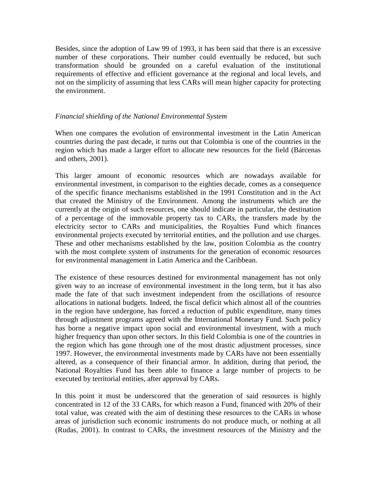Besides, since the adoption of Law 99 of 1993, it has been said that there is an excessive number of these corporations. Their number could eventually be reduced, but such transformation should be grounded on a careful evaluation of the institutional requirements of effective and efficient governance at the regional and local levels, and not on the simplicity of assuming that less CARs will mean higher capacity for protecting the environment.

### *Financial shielding of the National Environmental System*

When one compares the evolution of environmental investment in the Latin American countries during the past decade, it turns out that Colombia is one of the countries in the region which has made a larger effort to allocate new resources for the field (Bárcenas and others, 2001).

This larger amount of economic resources which are nowadays available for environmental investment, in comparison to the eighties decade, comes as a consequence of the specific finance mechanisms established in the 1991 Constitution and in the Act that created the Ministry of the Environment. Among the instruments which are the currently at the origin of such resources, one should indicate in particular, the destination of a percentage of the immovable property tax to CARs, the transfers made by the electricity sector to CARs and municipalities, the Royalties Fund which finances environmental projects executed by territorial entities, and the pollution and use charges. These and other mechanisms established by the law, position Colombia as the country with the most complete system of instruments for the generation of economic resources for environmental management in Latin America and the Caribbean.

The existence of these resources destined for environmental management has not only given way to an increase of environmental investment in the long term, but it has also made the fate of that such investment independent from the oscillations of resource allocations in national budgets. Indeed, the fiscal deficit which almost all of the countries in the region have undergone, has forced a reduction of public expenditure, many times through adjustment programs agreed with the International Monetary Fund. Such policy has borne a negative impact upon social and environmental investment, with a much higher frequency than upon other sectors. In this field Colombia is one of the countries in the region which has gone through one of the most drastic adjustment processes, since 1997. However, the environmental investments made by CARs have not been essentially altered, as a consequence of their financial armor. In addition, during that period, the National Royalties Fund has been able to finance a large number of projects to be executed by territorial entities, after approval by CARs.

In this point it must be underscored that the generation of said resources is highly concentrated in 12 of the 33 CARs, for which reason a Fund, financed with 20% of their total value, was created with the aim of destining these resources to the CARs in whose areas of jurisdiction such economic instruments do not produce much, or nothing at all (Rudas, 2001). In contrast to CARs, the investment resources of the Ministry and the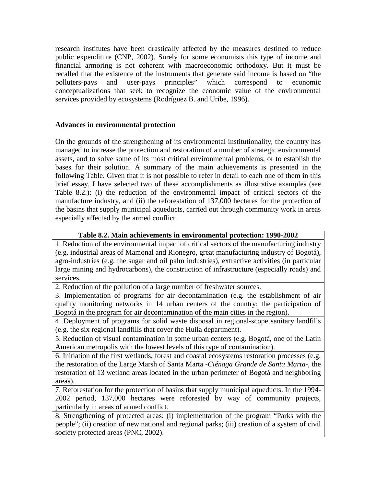research institutes have been drastically affected by the measures destined to reduce public expenditure (CNP, 2002). Surely for some economists this type of income and financial armoring is not coherent with macroeconomic orthodoxy. But it must be recalled that the existence of the instruments that generate said income is based on "the polluters-pays and user-pays principles" which correspond to economic polluters-pays and user-pays principles" which correspond to economic conceptualizations that seek to recognize the economic value of the environmental services provided by ecosystems (Rodríguez B. and Uribe, 1996).

## **Advances in environmental protection**

On the grounds of the strengthening of its environmental institutionality, the country has managed to increase the protection and restoration of a number of strategic environmental assets, and to solve some of its most critical environmental problems, or to establish the bases for their solution. A summary of the main achievements is presented in the following Table. Given that it is not possible to refer in detail to each one of them in this brief essay, I have selected two of these accomplishments as illustrative examples (see Table 8.2.): (i) the reduction of the environmental impact of critical sectors of the manufacture industry, and (ii) the reforestation of 137,000 hectares for the protection of the basins that supply municipal aqueducts, carried out through community work in areas especially affected by the armed conflict.

## **Table 8.2. Main achievements in environmental protection: 1990-2002**

1. Reduction of the environmental impact of critical sectors of the manufacturing industry (e.g. industrial areas of Mamonal and Rionegro, great manufacturing industry of Bogotá), agro-industries (e.g. the sugar and oil palm industries), extractive activities (in particular large mining and hydrocarbons), the construction of infrastructure (especially roads) and services.

2. Reduction of the pollution of a large number of freshwater sources.

3. Implementation of programs for air decontamination (e.g. the establishment of air quality monitoring networks in 14 urban centers of the country; the participation of Bogotá in the program for air decontamination of the main cities in the region).

4. Deployment of programs for solid waste disposal in regional-scope sanitary landfills (e.g. the six regional landfills that cover the Huila department).

5. Reduction of visual contamination in some urban centers (e.g. Bogotá, one of the Latin American metropolis with the lowest levels of this type of contamination).

6. Initiation of the first wetlands, forest and coastal ecosystems restoration processes (e.g. the restoration of the Large Marsh of Santa Marta -*Ciénaga Grande de Santa Marta*-, the restoration of 13 wetland areas located in the urban perimeter of Bogotá and neighboring areas).

7. Reforestation for the protection of basins that supply municipal aqueducts. In the 1994- 2002 period, 137,000 hectares were reforested by way of community projects, particularly in areas of armed conflict.

8. Strengthening of protected areas: (i) implementation of the program "Parks with the people"; (ii) creation of new national and regional parks; (iii) creation of a system of civil society protected areas (PNC, 2002).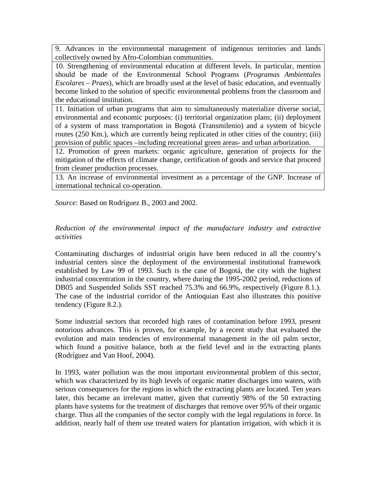9. Advances in the environmental management of indigenous territories and lands collectively owned by Afro-Colombian communities.

10. Strengthening of environmental education at different levels. In particular, mention should be made of the Environmental School Programs (*Programas Ambientales Escolares – Praes*), which are broadly used at the level of basic education, and eventually become linked to the solution of specific environmental problems from the classroom and the educational institution.

11. Initiation of urban programs that aim to simultaneously materialize diverse social, environmental and economic purposes: (i) territorial organization plans; (ii) deployment of a system of mass transportation in Bogotá (Transmilenio) and a system of bicycle routes (250 Km.), which are currently being replicated in other cities of the country; (iii) provision of public spaces –including recreational green areas- and urban arborization.

12. Promotion of green markets: organic agriculture, generation of projects for the mitigation of the effects of climate change, certification of goods and service that proceed from cleaner production processes.

13. An increase of environmental investment as a percentage of the GNP. Increase of international technical co-operation.

*Source*: Based on Rodríguez B., 2003 and 2002.

## *Reduction of the environmental impact of the manufacture industry and extractive activities*

Contaminating discharges of industrial origin have been reduced in all the country's industrial centers since the deployment of the environmental institutional framework established by Law 99 of 1993. Such is the case of Bogotá, the city with the highest industrial concentration in the country, where during the 1995-2002 period, reductions of DB05 and Suspended Solids SST reached 75.3% and 66.9%, respectively (Figure 8.1.). The case of the industrial corridor of the Antioquian East also illustrates this positive tendency (Figure 8.2.).

Some industrial sectors that recorded high rates of contamination before 1993, present notorious advances. This is proven, for example, by a recent study that evaluated the evolution and main tendencies of environmental management in the oil palm sector, which found a positive balance, both at the field level and in the extracting plants (Rodríguez and Van Hoof, 2004).

In 1993, water pollution was the most important environmental problem of this sector, which was characterized by its high levels of organic matter discharges into waters, with serious consequences for the regions in which the extracting plants are located. Ten years later, this became an irrelevant matter, given that currently 98% of the 50 extracting plants have systems for the treatment of discharges that remove over 95% of their organic charge. Thus all the companies of the sector comply with the legal regulations in force. In addition, nearly half of them use treated waters for plantation irrigation, with which it is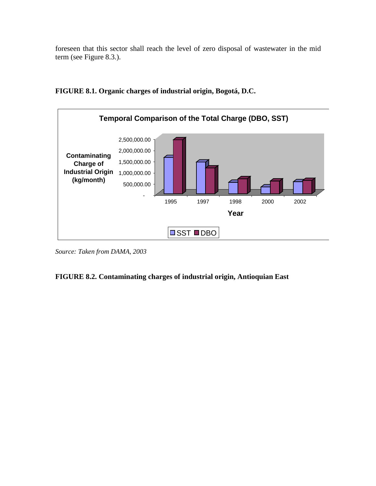foreseen that this sector shall reach the level of zero disposal of wastewater in the mid term (see Figure 8.3.).



**FIGURE 8.1. Organic charges of industrial origin, Bogotá, D.C.**

*Source: Taken from DAMA, 2003*

# **FIGURE 8.2. Contaminating charges of industrial origin, Antioquian East**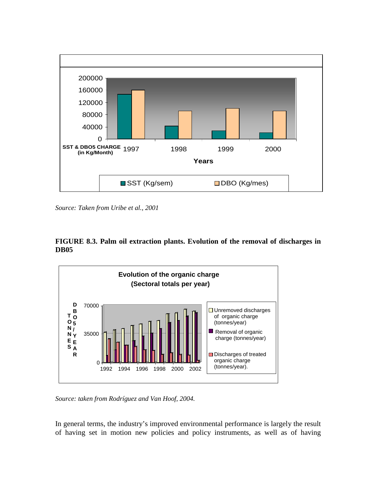

*Source: Taken from Uribe et al., 2001*





*Source: taken from Rodríguez and Van Hoof, 2004.*

In general terms, the industry's improved environmental performance is largely the result of having set in motion new policies and policy instruments, as well as of having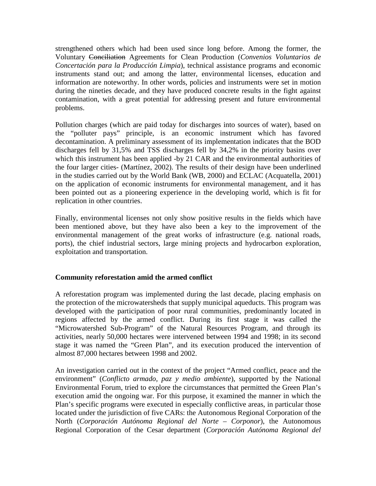strengthened others which had been used since long before. Among the former, the Voluntary Conciliation Agreements for Clean Production (*Convenios Voluntarios de Concertación para la Producción Limpia*), technical assistance programs and economic instruments stand out; and among the latter, environmental licenses, education and information are noteworthy. In other words, policies and instruments were set in motion during the nineties decade, and they have produced concrete results in the fight against contamination, with a great potential for addressing present and future environmental problems.

Pollution charges (which are paid today for discharges into sources of water), based on the "polluter pays" principle, is an economic instrument which has favored decontamination. A preliminary assessment of its implementation indicates that the BOD discharges fell by 31,5% and TSS discharges fell by 34,2% in the priority basins over which this instrument has been applied -by 21 CAR and the environmental authorities of the four larger cities- (Martínez, 2002). The results of their design have been underlined in the studies carried out by the World Bank (WB, 2000) and ECLAC (Acquatella, 2001) on the application of economic instruments for environmental management, and it has been pointed out as a pioneering experience in the developing world, which is fit for replication in other countries.

Finally, environmental licenses not only show positive results in the fields which have been mentioned above, but they have also been a key to the improvement of the environmental management of the great works of infrastructure (e.g. national roads, ports), the chief industrial sectors, large mining projects and hydrocarbon exploration, exploitation and transportation.

## **Community reforestation amid the armed conflict**

A reforestation program was implemented during the last decade, placing emphasis on the protection of the microwatersheds that supply municipal aqueducts. This program was developed with the participation of poor rural communities, predominantly located in regions affected by the armed conflict. During its first stage it was called the "Microwatershed Sub-Program" of the Natural Resources Program, and through its activities, nearly 50,000 hectares were intervened between 1994 and 1998; in its second stage it was named the "Green Plan", and its execution produced the intervention of almost 87,000 hectares between 1998 and 2002.

An investigation carried out in the context of the project "Armed conflict, peace and the environment" (*Conflicto armado, paz y medio ambiente*), supported by the National Environmental Forum, tried to explore the circumstances that permitted the Green Plan's execution amid the ongoing war. For this purpose, it examined the manner in which the Plan's specific programs were executed in especially conflictive areas, in particular those located under the jurisdiction of five CARs: the Autonomous Regional Corporation of the North (*Corporación Autónoma Regional del Norte – Corponor*), the Autonomous Regional Corporation of the Cesar department (*Corporación Autónoma Regional del*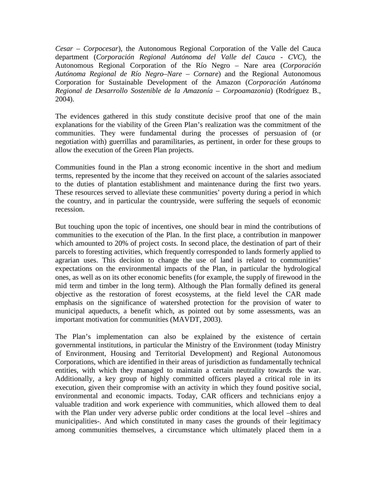*Cesar – Corpocesar*), the Autonomous Regional Corporation of the Valle del Cauca department (*Corporación Regional Autónoma del Valle del Cauca - CVC*), the Autonomous Regional Corporation of the Río Negro – Nare area (*Corporación Autónoma Regional de Río Negro–Nare – Cornare*) and the Regional Autonomous Corporation for Sustainable Development of the Amazon (*Corporación Autónoma Regional de Desarrollo Sostenible de la Amazonía – Corpoamazonia*) (Rodríguez B., 2004).

The evidences gathered in this study constitute decisive proof that one of the main explanations for the viability of the Green Plan's realization was the commitment of the communities. They were fundamental during the processes of persuasion of (or negotiation with) guerrillas and paramilitaries, as pertinent, in order for these groups to allow the execution of the Green Plan projects.

Communities found in the Plan a strong economic incentive in the short and medium terms, represented by the income that they received on account of the salaries associated to the duties of plantation establishment and maintenance during the first two years. These resources served to alleviate these communities' poverty during a period in which the country, and in particular the countryside, were suffering the sequels of economic recession.

But touching upon the topic of incentives, one should bear in mind the contributions of communities to the execution of the Plan. In the first place, a contribution in manpower which amounted to 20% of project costs. In second place, the destination of part of their parcels to foresting activities, which frequently corresponded to lands formerly applied to agrarian uses. This decision to change the use of land is related to communities' expectations on the environmental impacts of the Plan, in particular the hydrological ones, as well as on its other economic benefits (for example, the supply of firewood in the mid term and timber in the long term). Although the Plan formally defined its general objective as the restoration of forest ecosystems, at the field level the CAR made emphasis on the significance of watershed protection for the provision of water to municipal aqueducts, a benefit which, as pointed out by some assessments, was an important motivation for communities (MAVDT, 2003).

The Plan's implementation can also be explained by the existence of certain governmental institutions, in particular the Ministry of the Environment (today Ministry of Environment, Housing and Territorial Development) and Regional Autonomous Corporations, which are identified in their areas of jurisdiction as fundamentally technical entities, with which they managed to maintain a certain neutrality towards the war. Additionally, a key group of highly committed officers played a critical role in its execution, given their compromise with an activity in which they found positive social, environmental and economic impacts. Today, CAR officers and technicians enjoy a valuable tradition and work experience with communities, which allowed them to deal with the Plan under very adverse public order conditions at the local level –shires and municipalities-. And which constituted in many cases the grounds of their legitimacy among communities themselves, a circumstance which ultimately placed them in a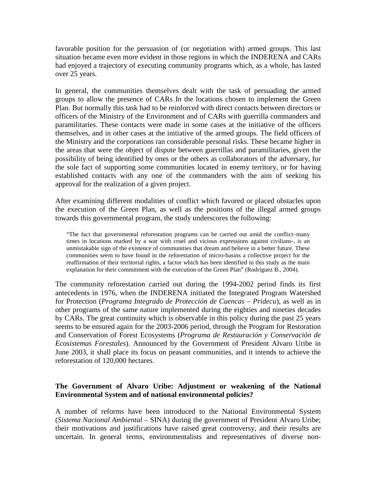favorable position for the persuasion of (or negotiation with) armed groups. This last situation became even more evident in those regions in which the INDERENA and CARs had enjoyed a trajectory of executing community programs which, as a whole, has lasted over 25 years.

In general, the communities themselves dealt with the task of persuading the armed groups to allow the presence of CARs In the locations chosen to implement the Green Plan. But normally this task had to be reinforced with direct contacts between directors or officers of the Ministry of the Environment and of CARs with guerrilla commanders and paramilitaries. These contacts were made in some cases at the initiative of the officers themselves, and in other cases at the initiative of the armed groups. The field officers of the Ministry and the corporations ran considerable personal risks. These became higher in the areas that were the object of dispute between guerrillas and paramilitaries, given the possibility of being identified by ones or the others as collaborators of the adversary, for the sole fact of supporting some communities located in enemy territory, or for having established contacts with any one of the commanders with the aim of seeking his approval for the realization of a given project.

After examining different modalities of conflict which favored or placed obstacles upon the execution of the Green Plan, as well as the positions of the illegal armed groups towards this governmental program, the study underscores the following:

"The fact that governmental reforestation programs can be carried out amid the conflict–many times in locations marked by a war with cruel and vicious expressions against civilians-, is an unmistakable sign of the existence of communities that dream and believe in a better future. These communities seem to have found in the reforestation of micro-basins a collective project for the reaffirmation of their territorial rights, a factor which has been identified in this study as the main explanation for their commitment with the execution of the Green Plan" (Rodríguez B., 2004).

The community reforestation carried out during the 1994-2002 period finds its first antecedents in 1976, when the INDERENA initiated the Integrated Program Watershed for Protection (*Programa Integrado de Protección de Cuencas – Pridecu*), as well as in other programs of the same nature implemented during the eighties and nineties decades by CARs. The great continuity which is observable in this policy during the past 25 years seems to be ensured again for the 2003-2006 period, through the Program for Restoration and Conservation of Forest Ecosystems (*Programa de Restauración y Conservación de Ecosistemas Forestales*). Announced by the Government of President Alvaro Uribe in June 2003, it shall place its focus on peasant communities, and it intends to achieve the reforestation of 120,000 hectares.

## **The Government of Alvaro Uribe: Adjustment or weakening of the National Environmental System and of national environmental policies?**

A number of reforms have been introduced to the National Environmental System (*Sistema Nacional Ambiental –* SINA) during the government of President Alvaro Uribe; their motivations and justifications have raised great controversy, and their results are uncertain. In general terms, environmentalists and representatives of diverse non-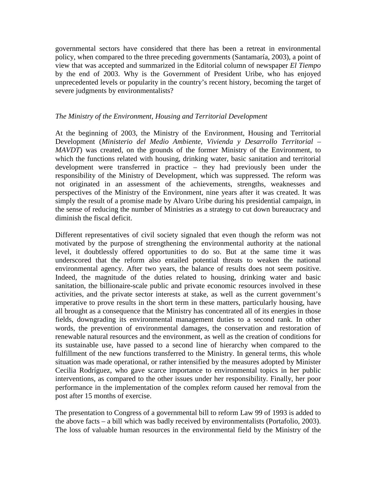governmental sectors have considered that there has been a retreat in environmental policy, when compared to the three preceding governments (Santamaría, 2003), a point of view that was accepted and summarized in the Editorial column of newspaper *El Tiempo*  by the end of 2003. Why is the Government of President Uribe, who has enjoyed unprecedented levels or popularity in the country's recent history, becoming the target of severe judgments by environmentalists?

### *The Ministry of the Environment, Housing and Territorial Development*

At the beginning of 2003, the Ministry of the Environment, Housing and Territorial Development (*Ministerio del Medio Ambiente, Vivienda y Desarrollo Territorial – MAVDT*) was created, on the grounds of the former Ministry of the Environment, to which the functions related with housing, drinking water, basic sanitation and territorial development were transferred in practice – they had previously been under the responsibility of the Ministry of Development, which was suppressed. The reform was not originated in an assessment of the achievements, strengths, weaknesses and perspectives of the Ministry of the Environment, nine years after it was created. It was simply the result of a promise made by Alvaro Uribe during his presidential campaign, in the sense of reducing the number of Ministries as a strategy to cut down bureaucracy and diminish the fiscal deficit.

Different representatives of civil society signaled that even though the reform was not motivated by the purpose of strengthening the environmental authority at the national level, it doubtlessly offered opportunities to do so. But at the same time it was underscored that the reform also entailed potential threats to weaken the national environmental agency. After two years, the balance of results does not seem positive. Indeed, the magnitude of the duties related to housing, drinking water and basic sanitation, the billionaire-scale public and private economic resources involved in these activities, and the private sector interests at stake, as well as the current government's imperative to prove results in the short term in these matters, particularly housing, have all brought as a consequence that the Ministry has concentrated all of its energies in those fields, downgrading its environmental management duties to a second rank. In other words, the prevention of environmental damages, the conservation and restoration of renewable natural resources and the environment, as well as the creation of conditions for its sustainable use, have passed to a second line of hierarchy when compared to the fulfillment of the new functions transferred to the Ministry. In general terms, this whole situation was made operational, or rather intensified by the measures adopted by Minister Cecilia Rodríguez, who gave scarce importance to environmental topics in her public interventions, as compared to the other issues under her responsibility. Finally, her poor performance in the implementation of the complex reform caused her removal from the post after 15 months of exercise.

The presentation to Congress of a governmental bill to reform Law 99 of 1993 is added to the above facts – a bill which was badly received by environmentalists (Portafolio, 2003). The loss of valuable human resources in the environmental field by the Ministry of the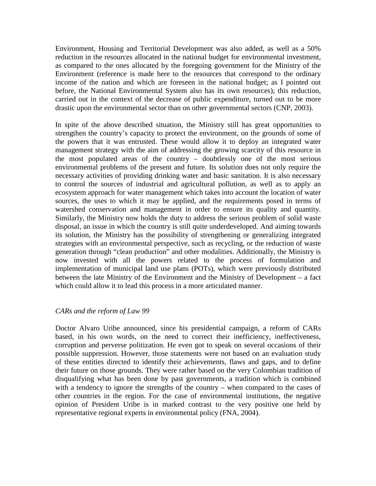Environment, Housing and Territorial Development was also added, as well as a 50% reduction in the resources allocated in the national budget for environmental investment, as compared to the ones allocated by the foregoing government for the Ministry of the Environment (reference is made here to the resources that correspond to the ordinary income of the nation and which are foreseen in the national budget; as I pointed out before, the National Environmental System also has its own resources); this reduction, carried out in the context of the decrease of public expenditure, turned out to be more drastic upon the environmental sector than on other governmental sectors (CNP, 2003).

In spite of the above described situation, the Ministry still has great opportunities to strengthen the country's capacity to protect the environment, on the grounds of some of the powers that it was entrusted. These would allow it to deploy an integrated water management strategy with the aim of addressing the growing scarcity of this resource in the most populated areas of the country – doubtlessly one of the most serious environmental problems of the present and future. Its solution does not only require the necessary activities of providing drinking water and basic sanitation. It is also necessary to control the sources of industrial and agricultural pollution, as well as to apply an ecosystem approach for water management which takes into account the location of water sources, the uses to which it may be applied, and the requirements posed in terms of watershed conservation and management in order to ensure its quality and quantity. Similarly, the Ministry now holds the duty to address the serious problem of solid waste disposal, an issue in which the country is still quite underdeveloped. And aiming towards its solution, the Ministry has the possibility of strengthening or generalizing integrated strategies with an environmental perspective, such as recycling, or the reduction of waste generation through "clean production" and other modalities. Additionally, the Ministry is now invested with all the powers related to the process of formulation and implementation of municipal land use plans (POTs), which were previously distributed between the late Ministry of the Environment and the Ministry of Development – a fact which could allow it to lead this process in a more articulated manner.

### *CARs and the reform of Law 99*

Doctor Alvaro Uribe announced, since his presidential campaign, a reform of CARs based, in his own words, on the need to correct their inefficiency, ineffectiveness, corruption and perverse politization. He even got to speak on several occasions of their possible suppression. However, those statements were not based on an evaluation study of these entities directed to identify their achievements, flaws and gaps, and to define their future on those grounds. They were rather based on the very Colombian tradition of disqualifying what has been done by past governments, a tradition which is combined with a tendency to ignore the strengths of the country – when compared to the cases of other countries in the region. For the case of environmental institutions, the negative opinion of President Uribe is in marked contrast to the very positive one held by representative regional experts in environmental policy (FNA, 2004).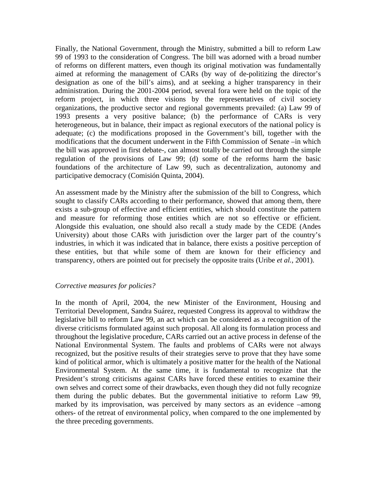Finally, the National Government, through the Ministry, submitted a bill to reform Law 99 of 1993 to the consideration of Congress. The bill was adorned with a broad number of reforms on different matters, even though its original motivation was fundamentally aimed at reforming the management of CARs (by way of de-politizing the director's designation as one of the bill's aims), and at seeking a higher transparency in their administration. During the 2001-2004 period, several fora were held on the topic of the reform project, in which three visions by the representatives of civil society organizations, the productive sector and regional governments prevailed: (a) Law 99 of 1993 presents a very positive balance; (b) the performance of CARs is very heterogeneous, but in balance, their impact as regional executors of the national policy is adequate; (c) the modifications proposed in the Government's bill, together with the modifications that the document underwent in the Fifth Commission of Senate –in which the bill was approved in first debate-, can almost totally be carried out through the simple regulation of the provisions of Law 99; (d) some of the reforms harm the basic foundations of the architecture of Law 99, such as decentralization, autonomy and participative democracy (Comisión Quinta, 2004).

An assessment made by the Ministry after the submission of the bill to Congress, which sought to classify CARs according to their performance, showed that among them, there exists a sub-group of effective and efficient entities, which should constitute the pattern and measure for reforming those entities which are not so effective or efficient. Alongside this evaluation, one should also recall a study made by the CEDE (Andes University) about those CARs with jurisdiction over the larger part of the country's industries, in which it was indicated that in balance, there exists a positive perception of these entities, but that while some of them are known for their efficiency and transparency, others are pointed out for precisely the opposite traits (Uribe *et al.*, 2001).

### *Corrective measures for policies?*

In the month of April, 2004, the new Minister of the Environment, Housing and Territorial Development, Sandra Suárez, requested Congress its approval to withdraw the legislative bill to reform Law 99, an act which can be considered as a recognition of the diverse criticisms formulated against such proposal. All along its formulation process and throughout the legislative procedure, CARs carried out an active process in defense of the National Environmental System. The faults and problems of CARs were not always recognized, but the positive results of their strategies serve to prove that they have some kind of political armor, which is ultimately a positive matter for the health of the National Environmental System. At the same time, it is fundamental to recognize that the President's strong criticisms against CARs have forced these entities to examine their own selves and correct some of their drawbacks, even though they did not fully recognize them during the public debates. But the governmental initiative to reform Law 99, marked by its improvisation, was perceived by many sectors as an evidence –among others- of the retreat of environmental policy, when compared to the one implemented by the three preceding governments.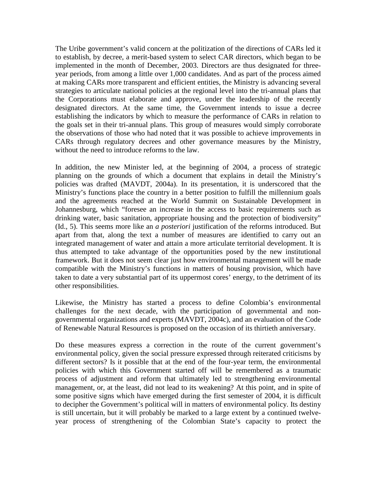The Uribe government's valid concern at the politization of the directions of CARs led it to establish, by decree, a merit-based system to select CAR directors, which began to be implemented in the month of December, 2003. Directors are thus designated for threeyear periods, from among a little over 1,000 candidates. And as part of the process aimed at making CARs more transparent and efficient entities, the Ministry is advancing several strategies to articulate national policies at the regional level into the tri-annual plans that the Corporations must elaborate and approve, under the leadership of the recently designated directors. At the same time, the Government intends to issue a decree establishing the indicators by which to measure the performance of CARs in relation to the goals set in their tri-annual plans. This group of measures would simply corroborate the observations of those who had noted that it was possible to achieve improvements in CARs through regulatory decrees and other governance measures by the Ministry, without the need to introduce reforms to the law.

In addition, the new Minister led, at the beginning of 2004, a process of strategic planning on the grounds of which a document that explains in detail the Ministry's policies was drafted (MAVDT, 2004a). In its presentation, it is underscored that the Ministry's functions place the country in a better position to fulfill the millennium goals and the agreements reached at the World Summit on Sustainable Development in Johannesburg, which "foresee an increase in the access to basic requirements such as drinking water, basic sanitation, appropriate housing and the protection of biodiversity" (Id., 5). This seems more like an *a posteriori* justification of the reforms introduced. But apart from that, along the text a number of measures are identified to carry out an integrated management of water and attain a more articulate territorial development. It is thus attempted to take advantage of the opportunities posed by the new institutional framework. But it does not seem clear just how environmental management will be made compatible with the Ministry's functions in matters of housing provision, which have taken to date a very substantial part of its uppermost cores' energy, to the detriment of its other responsibilities.

Likewise, the Ministry has started a process to define Colombia's environmental challenges for the next decade, with the participation of governmental and nongovernmental organizations and experts (MAVDT, 2004c), and an evaluation of the Code of Renewable Natural Resources is proposed on the occasion of its thirtieth anniversary.

Do these measures express a correction in the route of the current government's environmental policy, given the social pressure expressed through reiterated criticisms by different sectors? Is it possible that at the end of the four-year term, the environmental policies with which this Government started off will be remembered as a traumatic process of adjustment and reform that ultimately led to strengthening environmental management, or, at the least, did not lead to its weakening? At this point, and in spite of some positive signs which have emerged during the first semester of 2004, it is difficult to decipher the Government's political will in matters of environmental policy. Its destiny is still uncertain, but it will probably be marked to a large extent by a continued twelveyear process of strengthening of the Colombian State's capacity to protect the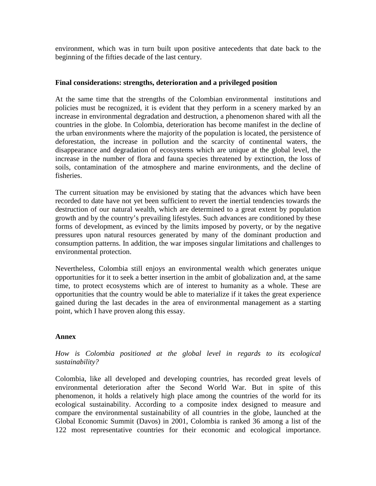environment, which was in turn built upon positive antecedents that date back to the beginning of the fifties decade of the last century.

### **Final considerations: strengths, deterioration and a privileged position**

At the same time that the strengths of the Colombian environmental institutions and policies must be recognized, it is evident that they perform in a scenery marked by an increase in environmental degradation and destruction, a phenomenon shared with all the countries in the globe. In Colombia, deterioration has become manifest in the decline of the urban environments where the majority of the population is located, the persistence of deforestation, the increase in pollution and the scarcity of continental waters, the disappearance and degradation of ecosystems which are unique at the global level, the increase in the number of flora and fauna species threatened by extinction, the loss of soils, contamination of the atmosphere and marine environments, and the decline of fisheries.

The current situation may be envisioned by stating that the advances which have been recorded to date have not yet been sufficient to revert the inertial tendencies towards the destruction of our natural wealth, which are determined to a great extent by population growth and by the country's prevailing lifestyles. Such advances are conditioned by these forms of development, as evinced by the limits imposed by poverty, or by the negative pressures upon natural resources generated by many of the dominant production and consumption patterns. In addition, the war imposes singular limitations and challenges to environmental protection.

Nevertheless, Colombia still enjoys an environmental wealth which generates unique opportunities for it to seek a better insertion in the ambit of globalization and, at the same time, to protect ecosystems which are of interest to humanity as a whole. These are opportunities that the country would be able to materialize if it takes the great experience gained during the last decades in the area of environmental management as a starting point, which I have proven along this essay.

### **Annex**

## *How is Colombia positioned at the global level in regards to its ecological sustainability?*

Colombia, like all developed and developing countries, has recorded great levels of environmental deterioration after the Second World War. But in spite of this phenomenon, it holds a relatively high place among the countries of the world for its ecological sustainability. According to a composite index designed to measure and compare the environmental sustainability of all countries in the globe, launched at the Global Economic Summit (Davos) in 2001, Colombia is ranked 36 among a list of the 122 most representative countries for their economic and ecological importance.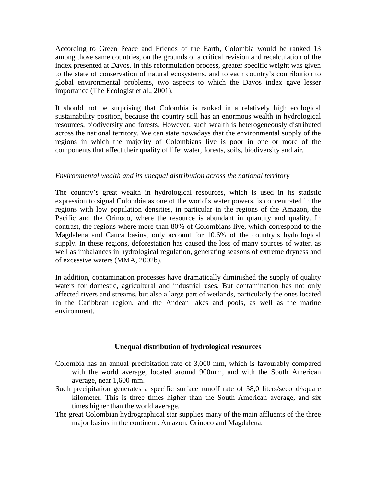According to Green Peace and Friends of the Earth, Colombia would be ranked 13 among those same countries, on the grounds of a critical revision and recalculation of the index presented at Davos. In this reformulation process, greater specific weight was given to the state of conservation of natural ecosystems, and to each country's contribution to global environmental problems, two aspects to which the Davos index gave lesser importance (The Ecologist et al., 2001).

It should not be surprising that Colombia is ranked in a relatively high ecological sustainability position, because the country still has an enormous wealth in hydrological resources, biodiversity and forests. However, such wealth is heterogeneously distributed across the national territory. We can state nowadays that the environmental supply of the regions in which the majority of Colombians live is poor in one or more of the components that affect their quality of life: water, forests, soils, biodiversity and air.

### *Environmental wealth and its unequal distribution across the national territory*

The country's great wealth in hydrological resources, which is used in its statistic expression to signal Colombia as one of the world's water powers, is concentrated in the regions with low population densities, in particular in the regions of the Amazon, the Pacific and the Orinoco, where the resource is abundant in quantity and quality. In contrast, the regions where more than 80% of Colombians live, which correspond to the Magdalena and Cauca basins, only account for 10.6% of the country's hydrological supply. In these regions, deforestation has caused the loss of many sources of water, as well as imbalances in hydrological regulation, generating seasons of extreme dryness and of excessive waters (MMA, 2002b).

In addition, contamination processes have dramatically diminished the supply of quality waters for domestic, agricultural and industrial uses. But contamination has not only affected rivers and streams, but also a large part of wetlands, particularly the ones located in the Caribbean region, and the Andean lakes and pools, as well as the marine environment.

#### **Unequal distribution of hydrological resources**

- Colombia has an annual precipitation rate of 3,000 mm, which is favourably compared with the world average, located around 900mm, and with the South American average, near 1,600 mm.
- Such precipitation generates a specific surface runoff rate of 58,0 liters/second/square kilometer. This is three times higher than the South American average, and six times higher than the world average.
- The great Colombian hydrographical star supplies many of the main affluents of the three major basins in the continent: Amazon, Orinoco and Magdalena.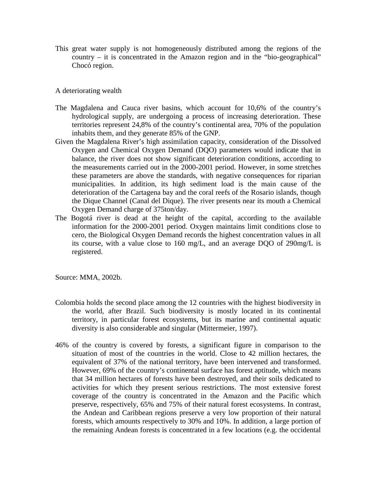This great water supply is not homogeneously distributed among the regions of the country – it is concentrated in the Amazon region and in the "bio-geographical" Chocó region.

#### A deteriorating wealth

- The Magdalena and Cauca river basins, which account for 10,6% of the country's hydrological supply, are undergoing a process of increasing deterioration. These territories represent 24,8% of the country's continental area, 70% of the population inhabits them, and they generate 85% of the GNP.
- Given the Magdalena River's high assimilation capacity, consideration of the Dissolved Oxygen and Chemical Oxygen Demand (DQO) parameters would indicate that in balance, the river does not show significant deterioration conditions, according to the measurements carried out in the 2000-2001 period. However, in some stretches these parameters are above the standards, with negative consequences for riparian municipalities. In addition, its high sediment load is the main cause of the deterioration of the Cartagena bay and the coral reefs of the Rosario islands, though the Dique Channel (Canal del Dique). The river presents near its mouth a Chemical Oxygen Demand charge of 375ton/day.
- The Bogotá river is dead at the height of the capital, according to the available information for the 2000-2001 period. Oxygen maintains limit conditions close to cero, the Biological Oxygen Demand records the highest concentration values in all its course, with a value close to 160 mg/L, and an average DQO of 290mg/L is registered.

Source: MMA, 2002b.

- Colombia holds the second place among the 12 countries with the highest biodiversity in the world, after Brazil. Such biodiversity is mostly located in its continental territory, in particular forest ecosystems, but its marine and continental aquatic diversity is also considerable and singular (Mittermeier, 1997).
- 46% of the country is covered by forests, a significant figure in comparison to the situation of most of the countries in the world. Close to 42 million hectares, the equivalent of 37% of the national territory, have been intervened and transformed. However, 69% of the country's continental surface has forest aptitude, which means that 34 million hectares of forests have been destroyed, and their soils dedicated to activities for which they present serious restrictions. The most extensive forest coverage of the country is concentrated in the Amazon and the Pacific which preserve, respectively, 65% and 75% of their natural forest ecosystems. In contrast, the Andean and Caribbean regions preserve a very low proportion of their natural forests, which amounts respectively to 30% and 10%. In addition, a large portion of the remaining Andean forests is concentrated in a few locations (e.g. the occidental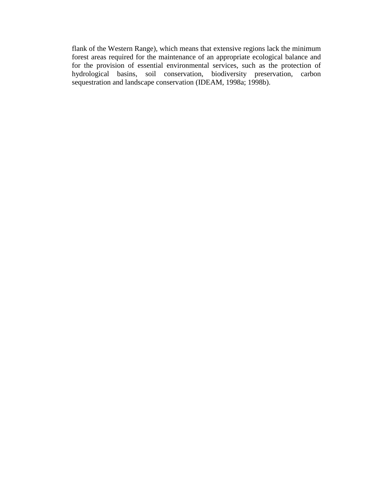flank of the Western Range), which means that extensive regions lack the minimum forest areas required for the maintenance of an appropriate ecological balance and for the provision of essential environmental services, such as the protection of hydrological basins, soil conservation, biodiversity preservation, carbon sequestration and landscape conservation (IDEAM, 1998a; 1998b).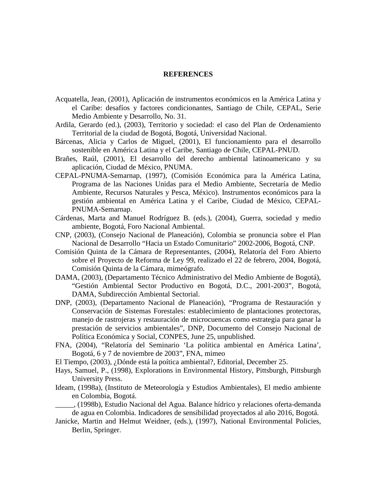#### **REFERENCES**

- Acquatella, Jean, (2001), Aplicación de instrumentos económicos en la América Latina y el Caribe: desafíos y factores condicionantes, Santiago de Chile, CEPAL, Serie Medio Ambiente y Desarrollo, No. 31.
- Ardila, Gerardo (ed.), (2003), Territorio y sociedad: el caso del Plan de Ordenamiento Territorial de la ciudad de Bogotá, Bogotá, Universidad Nacional.
- Bárcenas, Alicia y Carlos de Miguel, (2001), El funcionamiento para el desarrollo sostenible en América Latina y el Caribe, Santiago de Chile, CEPAL-PNUD.
- Brañes, Raúl, (2001), El desarrollo del derecho ambiental latinoamericano y su aplicación, Ciudad de México, PNUMA.
- CEPAL-PNUMA-Semarnap, (1997), (Comisión Económica para la América Latina, Programa de las Naciones Unidas para el Medio Ambiente, Secretaría de Medio Ambiente, Recursos Naturales y Pesca, México). Instrumentos económicos para la gestión ambiental en América Latina y el Caribe, Ciudad de México, CEPAL-PNUMA-Semarnap.
- Cárdenas, Marta and Manuel Rodríguez B. (eds.), (2004), Guerra, sociedad y medio ambiente, Bogotá, Foro Nacional Ambiental.
- CNP, (2003), (Consejo Nacional de Planeación), Colombia se pronuncia sobre el Plan Nacional de Desarrollo "Hacia un Estado Comunitario" 2002-2006, Bogotá, CNP.
- Comisión Quinta de la Cámara de Representantes, (2004), Relatoría del Foro Abierto sobre el Proyecto de Reforma de Ley 99, realizado el 22 de febrero, 2004, Bogotá, Comisión Quinta de la Cámara, mimeógrafo.
- DAMA, (2003), (Departamento Técnico Administrativo del Medio Ambiente de Bogotá), "Gestión Ambiental Sector Productivo en Bogotá, D.C., 2001-2003", Bogotá, DAMA, Subdirección Ambiental Sectorial.
- DNP, (2003), (Departamento Nacional de Planeación), "Programa de Restauración y Conservación de Sistemas Forestales: establecimiento de plantaciones protectoras, manejo de rastrojeras y restauración de microcuencas como estrategia para ganar la prestación de servicios ambientales", DNP, Documento del Consejo Nacional de Política Económica y Social, CONPES, June 25, unpublished.
- FNA, (2004), "Relatoría del Seminario 'La política ambiental en América Latina', Bogotá, 6 y 7 de noviembre de 2003", FNA, mimeo
- El Tiempo, (2003), ¿Dónde está la poítica ambiental?, Editorial, December 25.
- Hays, Samuel, P., (1998), Explorations in Environmental History, Pittsburgh, Pittsburgh University Press.
- Ideam, (1998a), (Instituto de Meteorología y Estudios Ambientales), El medio ambiente en Colombia, Bogotá.
- \_\_\_\_\_, (1998b), Estudio Nacional del Agua. Balance hídrico y relaciones oferta-demanda de agua en Colombia. Indicadores de sensibilidad proyectados al año 2016, Bogotá.
- Janicke, Martin and Helmut Weidner, (eds.), (1997), National Environmental Policies, Berlin, Springer.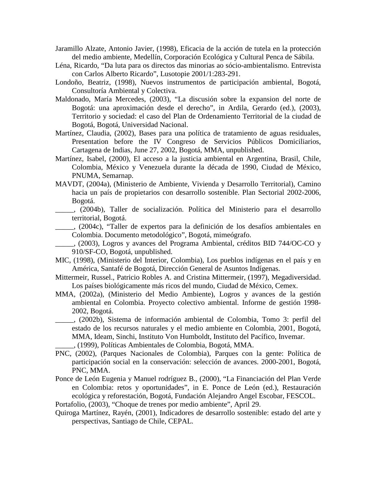- Jaramillo Alzate, Antonio Javier, (1998), Eficacia de la acción de tutela en la protección del medio ambiente, Medellín, Corporación Ecológica y Cultural Penca de Sábila.
- Léna, Ricardo, "Da luta para os directos das minorias ao sócio-ambientalismo. Entrevista con Carlos Alberto Ricardo", Lusotopie 2001/1:283-291.
- Londoño, Beatriz, (1998), Nuevos instrumentos de participación ambiental, Bogotá, Consultoría Ambiental y Colectiva.
- Maldonado, María Mercedes, (2003), "La discusión sobre la expansion del norte de Bogotá: una aproximación desde el derecho", in Ardila, Gerardo (ed.), (2003), Territorio y sociedad: el caso del Plan de Ordenamiento Territorial de la ciudad de Bogotá, Bogotá, Universidad Nacional.
- Martínez, Claudia, (2002), Bases para una política de tratamiento de aguas residuales, Presentation before the IV Congreso de Servicios Públicos Domiciliarios, Cartagena de Indias, June 27, 2002, Bogotá, MMA, unpublished.
- Martínez, Isabel, (2000), El acceso a la justicia ambiental en Argentina, Brasil, Chile, Colombia, México y Venezuela durante la década de 1990, Ciudad de México, PNUMA, Semarnap.
- MAVDT, (2004a), (Ministerio de Ambiente, Vivienda y Desarrollo Territorial), Camino hacia un país de propietarios con desarrollo sostenible. Plan Sectorial 2002-2006, Bogotá.
- \_\_\_\_\_, (2004b), Taller de socialización. Política del Ministerio para el desarrollo territorial, Bogotá.
- \_\_\_\_\_, (2004c), "Taller de expertos para la definición de los desafíos ambientales en Colombia. Documento metodológico", Bogotá, mimeógrafo.
- \_\_\_\_\_, (2003), Logros y avances del Programa Ambiental, créditos BID 744/OC-CO y 910/SF-CO, Bogotá, unpublished.
- MIC, (1998), (Ministerio del Interior, Colombia), Los pueblos indígenas en el país y en América, Santafé de Bogotá, Dirección General de Asuntos Indígenas.
- Mittermeir, Russel., Patricio Robles A. and Cristina Mittermeir, (1997), Megadiversidad. Los países biológicamente más ricos del mundo, Ciudad de México, Cemex.
- MMA, (2002a), (Ministerio del Medio Ambiente), Logros y avances de la gestión ambiental en Colombia. Proyecto colectivo ambiental. Informe de gestión 1998- 2002, Bogotá.

\_\_\_\_\_, (2002b), Sistema de información ambiental de Colombia, Tomo 3: perfil del estado de los recursos naturales y el medio ambiente en Colombia, 2001, Bogotá, MMA, Ideam, Sinchi, Instituto Von Humboldt, Instituto del Pacífico, Invemar. \_\_\_\_\_, (1999), Políticas Ambientales de Colombia, Bogotá, MMA.

- PNC, (2002), (Parques Nacionales de Colombia), Parques con la gente: Política de participación social en la conservación: selección de avances. 2000-2001, Bogotá, PNC, MMA.
- Ponce de León Eugenia y Manuel rodríguez B., (2000), "La Financiación del Plan Verde en Colombia: retos y oportunidades", in E. Ponce de León (ed.), Restauración ecológica y reforestación, Bogotá, Fundación Alejandro Angel Escobar, FESCOL.
- Portafolio, (2003), "Choque de trenes por medio ambiente", April 29.
- Quiroga Martínez, Rayén, (2001), Indicadores de desarrollo sostenible: estado del arte y perspectivas, Santiago de Chile, CEPAL.